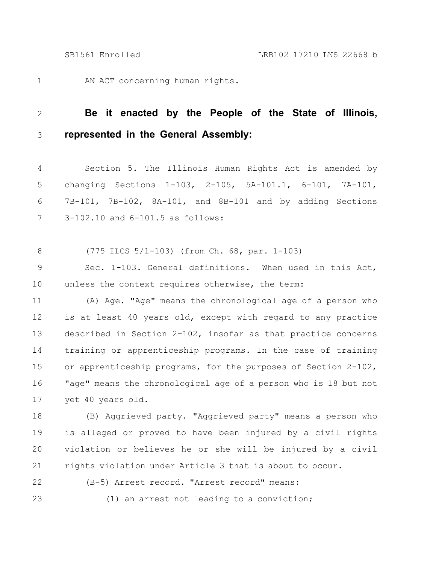AN ACT concerning human rights. 1

## **Be it enacted by the People of the State of Illinois, represented in the General Assembly:** 2 3

Section 5. The Illinois Human Rights Act is amended by changing Sections 1-103, 2-105, 5A-101.1, 6-101, 7A-101, 7B-101, 7B-102, 8A-101, and 8B-101 and by adding Sections 3-102.10 and 6-101.5 as follows: 4 5 6 7

(775 ILCS 5/1-103) (from Ch. 68, par. 1-103) 8

Sec. 1-103. General definitions. When used in this Act, unless the context requires otherwise, the term: 9 10

(A) Age. "Age" means the chronological age of a person who is at least 40 years old, except with regard to any practice described in Section 2-102, insofar as that practice concerns training or apprenticeship programs. In the case of training or apprenticeship programs, for the purposes of Section 2-102, "age" means the chronological age of a person who is 18 but not yet 40 years old. 11 12 13 14 15 16 17

(B) Aggrieved party. "Aggrieved party" means a person who is alleged or proved to have been injured by a civil rights violation or believes he or she will be injured by a civil rights violation under Article 3 that is about to occur. 18 19 20 21

22

(B-5) Arrest record. "Arrest record" means:

23

(1) an arrest not leading to a conviction;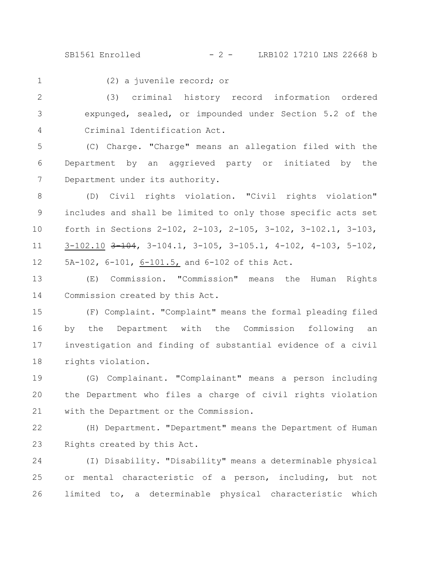SB1561 Enrolled - 2 - LRB102 17210 LNS 22668 b

1

(2) a juvenile record; or

(3) criminal history record information ordered expunged, sealed, or impounded under Section 5.2 of the Criminal Identification Act. 2 3 4

(C) Charge. "Charge" means an allegation filed with the Department by an aggrieved party or initiated by the Department under its authority. 5 6 7

(D) Civil rights violation. "Civil rights violation" includes and shall be limited to only those specific acts set forth in Sections 2-102, 2-103, 2-105, 3-102, 3-102.1, 3-103, 3-102.10 3-104, 3-104.1, 3-105, 3-105.1, 4-102, 4-103, 5-102, 5A-102, 6-101, 6-101.5, and 6-102 of this Act. 8 9 10 11 12

(E) Commission. "Commission" means the Human Rights Commission created by this Act. 13 14

(F) Complaint. "Complaint" means the formal pleading filed by the Department with the Commission following an investigation and finding of substantial evidence of a civil rights violation. 15 16 17 18

(G) Complainant. "Complainant" means a person including the Department who files a charge of civil rights violation with the Department or the Commission. 19 20 21

(H) Department. "Department" means the Department of Human Rights created by this Act. 22 23

(I) Disability. "Disability" means a determinable physical or mental characteristic of a person, including, but not limited to, a determinable physical characteristic which 24 25 26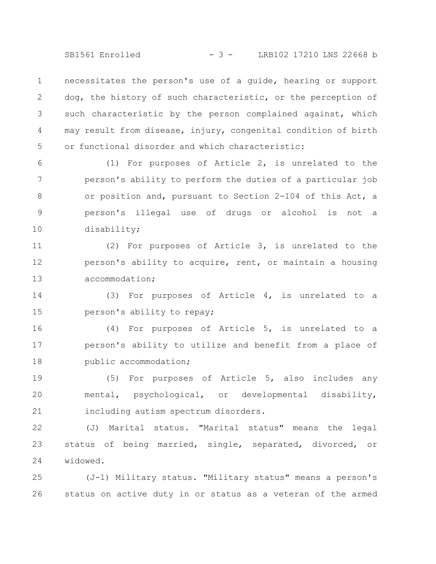SB1561 Enrolled - 3 - LRB102 17210 LNS 22668 b

necessitates the person's use of a guide, hearing or support dog, the history of such characteristic, or the perception of such characteristic by the person complained against, which may result from disease, injury, congenital condition of birth or functional disorder and which characteristic: 1 2 3 4 5

(1) For purposes of Article 2, is unrelated to the person's ability to perform the duties of a particular job or position and, pursuant to Section 2-104 of this Act, a person's illegal use of drugs or alcohol is not a disability; 6 7 8 9 10

(2) For purposes of Article 3, is unrelated to the person's ability to acquire, rent, or maintain a housing accommodation; 11 12 13

(3) For purposes of Article 4, is unrelated to a person's ability to repay; 14 15

(4) For purposes of Article 5, is unrelated to a person's ability to utilize and benefit from a place of public accommodation; 16 17 18

(5) For purposes of Article 5, also includes any mental, psychological, or developmental disability, including autism spectrum disorders. 19 20 21

(J) Marital status. "Marital status" means the legal status of being married, single, separated, divorced, or widowed. 22 23 24

(J-1) Military status. "Military status" means a person's status on active duty in or status as a veteran of the armed 25 26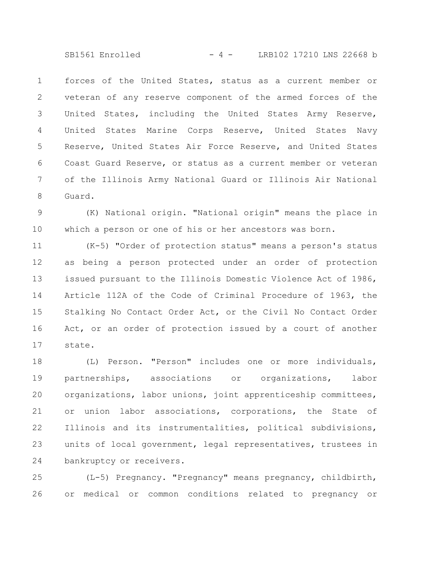SB1561 Enrolled - 4 - LRB102 17210 LNS 22668 b

forces of the United States, status as a current member or veteran of any reserve component of the armed forces of the United States, including the United States Army Reserve, United States Marine Corps Reserve, United States Navy Reserve, United States Air Force Reserve, and United States Coast Guard Reserve, or status as a current member or veteran of the Illinois Army National Guard or Illinois Air National Guard. 1 2 3 4 5 6 7 8

(K) National origin. "National origin" means the place in which a person or one of his or her ancestors was born. 9 10

(K-5) "Order of protection status" means a person's status as being a person protected under an order of protection issued pursuant to the Illinois Domestic Violence Act of 1986, Article 112A of the Code of Criminal Procedure of 1963, the Stalking No Contact Order Act, or the Civil No Contact Order Act, or an order of protection issued by a court of another state. 11 12 13 14 15 16 17

(L) Person. "Person" includes one or more individuals, partnerships, associations or organizations, labor organizations, labor unions, joint apprenticeship committees, or union labor associations, corporations, the State of Illinois and its instrumentalities, political subdivisions, units of local government, legal representatives, trustees in bankruptcy or receivers. 18 19 20 21 22 23 24

(L-5) Pregnancy. "Pregnancy" means pregnancy, childbirth, or medical or common conditions related to pregnancy or 25 26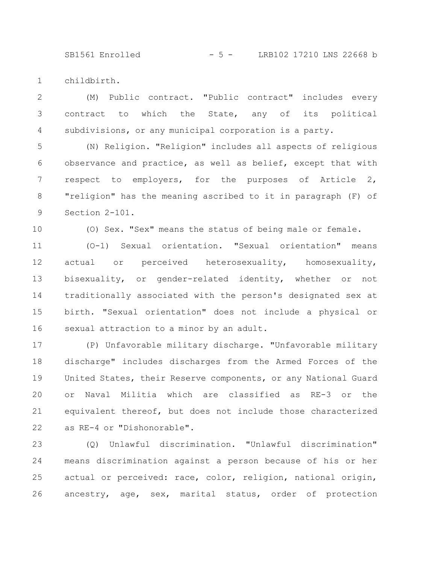SB1561 Enrolled - 5 - LRB102 17210 LNS 22668 b

childbirth. 1

(M) Public contract. "Public contract" includes every contract to which the State, any of its political subdivisions, or any municipal corporation is a party. 2 3 4

(N) Religion. "Religion" includes all aspects of religious observance and practice, as well as belief, except that with respect to employers, for the purposes of Article 2, "religion" has the meaning ascribed to it in paragraph (F) of Section 2-101. 5 6 7 8 9

10

(O) Sex. "Sex" means the status of being male or female.

(O-1) Sexual orientation. "Sexual orientation" means actual or perceived heterosexuality, homosexuality, bisexuality, or gender-related identity, whether or not traditionally associated with the person's designated sex at birth. "Sexual orientation" does not include a physical or sexual attraction to a minor by an adult. 11 12 13 14 15 16

(P) Unfavorable military discharge. "Unfavorable military discharge" includes discharges from the Armed Forces of the United States, their Reserve components, or any National Guard or Naval Militia which are classified as RE-3 or the equivalent thereof, but does not include those characterized as RE-4 or "Dishonorable". 17 18 19 20 21 22

(Q) Unlawful discrimination. "Unlawful discrimination" means discrimination against a person because of his or her actual or perceived: race, color, religion, national origin, ancestry, age, sex, marital status, order of protection 23 24 25 26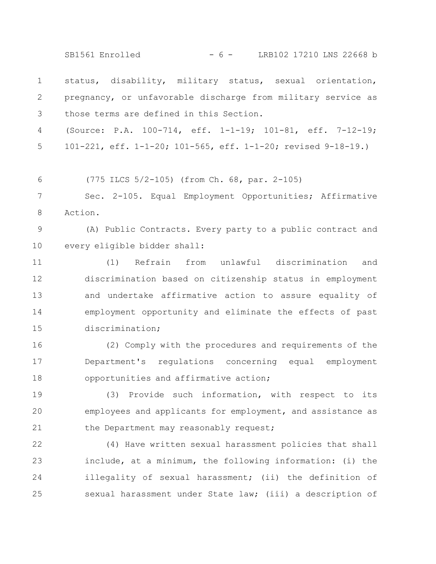SB1561 Enrolled - 6 - LRB102 17210 LNS 22668 b

status, disability, military status, sexual orientation, pregnancy, or unfavorable discharge from military service as those terms are defined in this Section. 1 2 3

(Source: P.A. 100-714, eff. 1-1-19; 101-81, eff. 7-12-19; 101-221, eff. 1-1-20; 101-565, eff. 1-1-20; revised 9-18-19.) 4 5

(775 ILCS 5/2-105) (from Ch. 68, par. 2-105) 6

Sec. 2-105. Equal Employment Opportunities; Affirmative Action. 7 8

(A) Public Contracts. Every party to a public contract and every eligible bidder shall: 9 10

(1) Refrain from unlawful discrimination and discrimination based on citizenship status in employment and undertake affirmative action to assure equality of employment opportunity and eliminate the effects of past discrimination; 11 12 13 14 15

(2) Comply with the procedures and requirements of the Department's regulations concerning equal employment opportunities and affirmative action; 16 17 18

(3) Provide such information, with respect to its employees and applicants for employment, and assistance as the Department may reasonably request; 19 20 21

(4) Have written sexual harassment policies that shall include, at a minimum, the following information: (i) the illegality of sexual harassment; (ii) the definition of sexual harassment under State law; (iii) a description of 22 23 24 25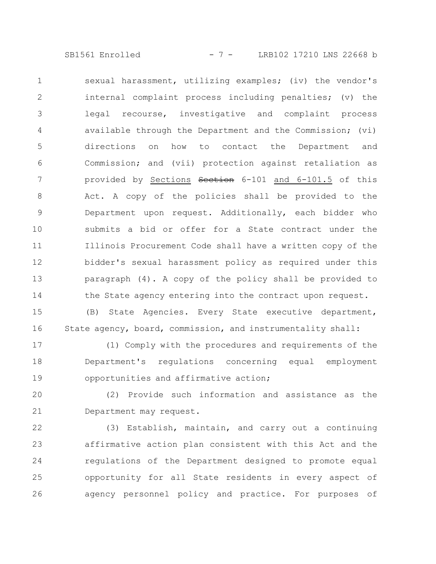SB1561 Enrolled - 7 - LRB102 17210 LNS 22668 b

sexual harassment, utilizing examples; (iv) the vendor's internal complaint process including penalties; (v) the legal recourse, investigative and complaint process available through the Department and the Commission; (vi) directions on how to contact the Department and Commission; and (vii) protection against retaliation as provided by Sections Section 6-101 and 6-101.5 of this Act. A copy of the policies shall be provided to the Department upon request. Additionally, each bidder who submits a bid or offer for a State contract under the Illinois Procurement Code shall have a written copy of the bidder's sexual harassment policy as required under this paragraph (4). A copy of the policy shall be provided to the State agency entering into the contract upon request. 1 2 3 4 5 6 7 8 9 10 11 12 13 14

(B) State Agencies. Every State executive department, State agency, board, commission, and instrumentality shall: 15 16

(1) Comply with the procedures and requirements of the Department's regulations concerning equal employment opportunities and affirmative action; 17 18 19

(2) Provide such information and assistance as the Department may request. 20 21

(3) Establish, maintain, and carry out a continuing affirmative action plan consistent with this Act and the regulations of the Department designed to promote equal opportunity for all State residents in every aspect of agency personnel policy and practice. For purposes of 22 23 24 25 26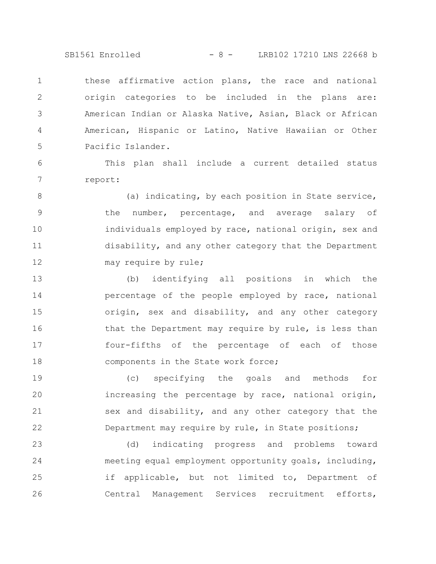SB1561 Enrolled - 8 - LRB102 17210 LNS 22668 b

these affirmative action plans, the race and national origin categories to be included in the plans are: American Indian or Alaska Native, Asian, Black or African American, Hispanic or Latino, Native Hawaiian or Other Pacific Islander. 1 2 3 4 5

This plan shall include a current detailed status report: 6 7

(a) indicating, by each position in State service, the number, percentage, and average salary of individuals employed by race, national origin, sex and disability, and any other category that the Department may require by rule; 8 9 10 11 12

(b) identifying all positions in which the percentage of the people employed by race, national origin, sex and disability, and any other category that the Department may require by rule, is less than four-fifths of the percentage of each of those components in the State work force; 13 14 15 16 17 18

(c) specifying the goals and methods for increasing the percentage by race, national origin, sex and disability, and any other category that the Department may require by rule, in State positions; 19 20 21 22

(d) indicating progress and problems toward meeting equal employment opportunity goals, including, if applicable, but not limited to, Department of Central Management Services recruitment efforts, 23 24 25 26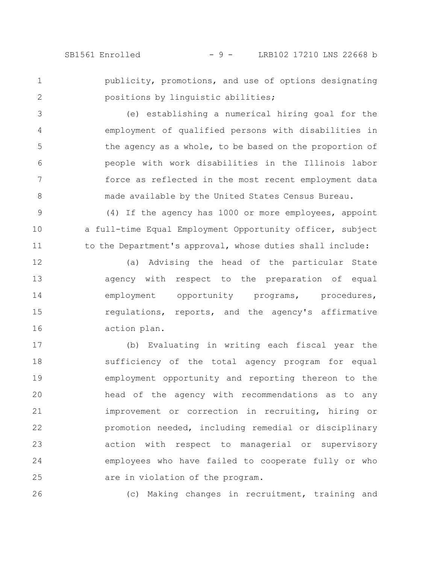SB1561 Enrolled - 9 - LRB102 17210 LNS 22668 b

1 2 publicity, promotions, and use of options designating positions by linguistic abilities;

(e) establishing a numerical hiring goal for the employment of qualified persons with disabilities in the agency as a whole, to be based on the proportion of people with work disabilities in the Illinois labor force as reflected in the most recent employment data made available by the United States Census Bureau. 3 4 5 6 7 8

(4) If the agency has 1000 or more employees, appoint a full-time Equal Employment Opportunity officer, subject to the Department's approval, whose duties shall include: 9 10 11

(a) Advising the head of the particular State agency with respect to the preparation of equal employment opportunity programs, procedures, regulations, reports, and the agency's affirmative action plan. 12 13 14 15 16

(b) Evaluating in writing each fiscal year the sufficiency of the total agency program for equal employment opportunity and reporting thereon to the head of the agency with recommendations as to any improvement or correction in recruiting, hiring or promotion needed, including remedial or disciplinary action with respect to managerial or supervisory employees who have failed to cooperate fully or who are in violation of the program. 17 18 19 20 21 22 23 24 25

(c) Making changes in recruitment, training and 26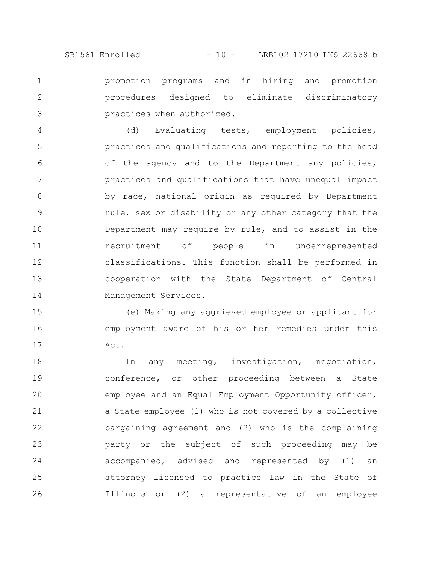promotion programs and in hiring and promotion procedures designed to eliminate discriminatory practices when authorized. 1 2 3

(d) Evaluating tests, employment policies, practices and qualifications and reporting to the head of the agency and to the Department any policies, practices and qualifications that have unequal impact by race, national origin as required by Department rule, sex or disability or any other category that the Department may require by rule, and to assist in the recruitment of people in underrepresented classifications. This function shall be performed in cooperation with the State Department of Central Management Services. 4 5 6 7 8 9 10 11 12 13 14

(e) Making any aggrieved employee or applicant for employment aware of his or her remedies under this Act. 15 16 17

In any meeting, investigation, negotiation, conference, or other proceeding between a State employee and an Equal Employment Opportunity officer, a State employee (1) who is not covered by a collective bargaining agreement and (2) who is the complaining party or the subject of such proceeding may be accompanied, advised and represented by (1) an attorney licensed to practice law in the State of Illinois or (2) a representative of an employee 18 19 20 21 22 23 24 25 26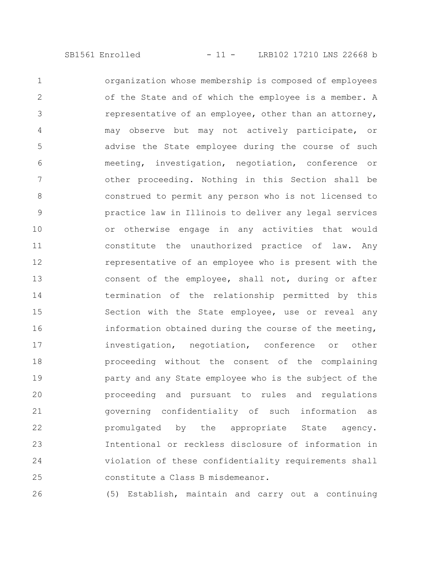organization whose membership is composed of employees of the State and of which the employee is a member. A representative of an employee, other than an attorney, may observe but may not actively participate, or advise the State employee during the course of such meeting, investigation, negotiation, conference or other proceeding. Nothing in this Section shall be construed to permit any person who is not licensed to practice law in Illinois to deliver any legal services or otherwise engage in any activities that would constitute the unauthorized practice of law. Any representative of an employee who is present with the consent of the employee, shall not, during or after termination of the relationship permitted by this Section with the State employee, use or reveal any information obtained during the course of the meeting, investigation, negotiation, conference or other proceeding without the consent of the complaining party and any State employee who is the subject of the proceeding and pursuant to rules and regulations governing confidentiality of such information as promulgated by the appropriate State agency. Intentional or reckless disclosure of information in violation of these confidentiality requirements shall constitute a Class B misdemeanor. 1 2 3 4 5 6 7 8 9 10 11 12 13 14 15 16 17 18 19 20 21 22 23 24 25

(5) Establish, maintain and carry out a continuing 26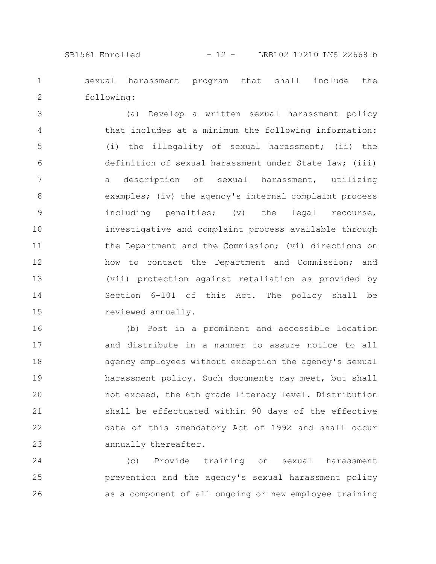## SB1561 Enrolled - 12 - LRB102 17210 LNS 22668 b

sexual harassment program that shall include the following: 1 2

(a) Develop a written sexual harassment policy that includes at a minimum the following information: (i) the illegality of sexual harassment; (ii) the definition of sexual harassment under State law; (iii) a description of sexual harassment, utilizing examples; (iv) the agency's internal complaint process including penalties; (v) the legal recourse, investigative and complaint process available through the Department and the Commission; (vi) directions on how to contact the Department and Commission; and (vii) protection against retaliation as provided by Section 6-101 of this Act. The policy shall be reviewed annually. 3 4 5 6 7 8 9 10 11 12 13 14 15

(b) Post in a prominent and accessible location and distribute in a manner to assure notice to all agency employees without exception the agency's sexual harassment policy. Such documents may meet, but shall not exceed, the 6th grade literacy level. Distribution shall be effectuated within 90 days of the effective date of this amendatory Act of 1992 and shall occur annually thereafter. 16 17 18 19 20 21 22 23

(c) Provide training on sexual harassment prevention and the agency's sexual harassment policy as a component of all ongoing or new employee training 24 25 26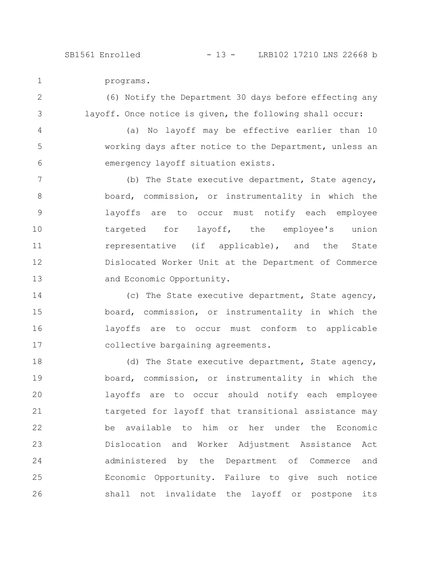programs. 1

(6) Notify the Department 30 days before effecting any layoff. Once notice is given, the following shall occur: 2 3

(a) No layoff may be effective earlier than 10 working days after notice to the Department, unless an emergency layoff situation exists. 4 5 6

(b) The State executive department, State agency, board, commission, or instrumentality in which the layoffs are to occur must notify each employee targeted for layoff, the employee's union representative (if applicable), and the State Dislocated Worker Unit at the Department of Commerce and Economic Opportunity. 7 8 9 10 11 12 13

(c) The State executive department, State agency, board, commission, or instrumentality in which the layoffs are to occur must conform to applicable collective bargaining agreements. 14 15 16 17

(d) The State executive department, State agency, board, commission, or instrumentality in which the layoffs are to occur should notify each employee targeted for layoff that transitional assistance may be available to him or her under the Economic Dislocation and Worker Adjustment Assistance Act administered by the Department of Commerce and Economic Opportunity. Failure to give such notice shall not invalidate the layoff or postpone its 18 19 20 21 22 23 24 25 26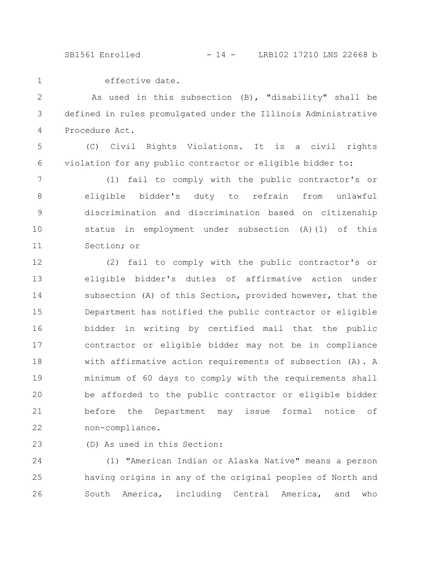SB1561 Enrolled - 14 - LRB102 17210 LNS 22668 b

effective date.

1

As used in this subsection (B), "disability" shall be defined in rules promulgated under the Illinois Administrative Procedure Act. 2 3 4

(C) Civil Rights Violations. It is a civil rights violation for any public contractor or eligible bidder to: 5 6

(1) fail to comply with the public contractor's or eligible bidder's duty to refrain from unlawful discrimination and discrimination based on citizenship status in employment under subsection (A)(1) of this Section; or 7 8 9 10 11

(2) fail to comply with the public contractor's or eligible bidder's duties of affirmative action under subsection (A) of this Section, provided however, that the Department has notified the public contractor or eligible bidder in writing by certified mail that the public contractor or eligible bidder may not be in compliance with affirmative action requirements of subsection (A). A minimum of 60 days to comply with the requirements shall be afforded to the public contractor or eligible bidder before the Department may issue formal notice of non-compliance. 12 13 14 15 16 17 18 19 20 21 22

(D) As used in this Section: 23

(1) "American Indian or Alaska Native" means a person having origins in any of the original peoples of North and South America, including Central America, and who 24 25 26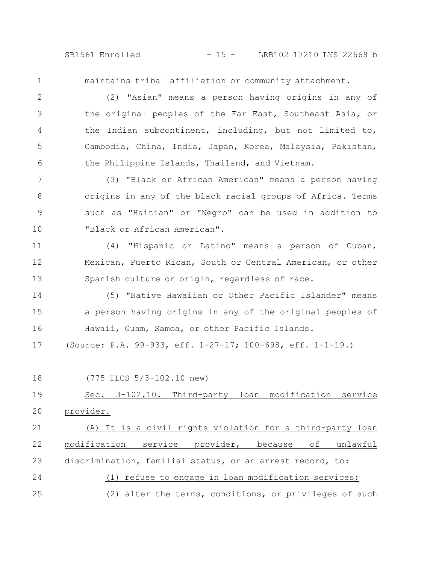SB1561 Enrolled - 15 - LRB102 17210 LNS 22668 b

1

maintains tribal affiliation or community attachment.

(2) "Asian" means a person having origins in any of the original peoples of the Far East, Southeast Asia, or the Indian subcontinent, including, but not limited to, Cambodia, China, India, Japan, Korea, Malaysia, Pakistan, the Philippine Islands, Thailand, and Vietnam. 2 3 4 5 6

(3) "Black or African American" means a person having origins in any of the black racial groups of Africa. Terms such as "Haitian" or "Negro" can be used in addition to "Black or African American". 7 8 9 10

(4) "Hispanic or Latino" means a person of Cuban, Mexican, Puerto Rican, South or Central American, or other Spanish culture or origin, regardless of race. 11 12 13

(5) "Native Hawaiian or Other Pacific Islander" means a person having origins in any of the original peoples of Hawaii, Guam, Samoa, or other Pacific Islands. 14 15 16

(Source: P.A. 99-933, eff. 1-27-17; 100-698, eff. 1-1-19.) 17

(775 ILCS 5/3-102.10 new) Sec. 3-102.10. Third-party loan modification service provider. (A) It is a civil rights violation for a third-party loan modification service provider, because of unlawful discrimination, familial status, or an arrest record, to: (1) refuse to engage in loan modification services; (2) alter the terms, conditions, or privileges of such 18 19 20 21 22 23 24 25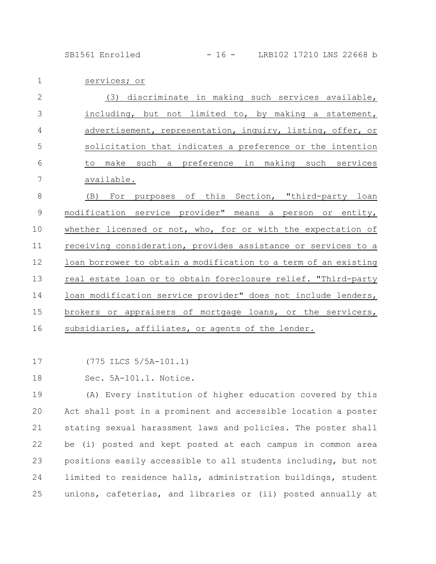SB1561 Enrolled - 16 - LRB102 17210 LNS 22668 b

services; or 1

| $\mathbf{2}$   | (3) discriminate in making such services available,             |
|----------------|-----------------------------------------------------------------|
| 3              | including, but not limited to, by making a statement,           |
| $\overline{4}$ | advertisement, representation, inquiry, listing, offer, or      |
| 5              | solicitation that indicates a preference or the intention       |
| 6              | make such a preference in making such services<br>to            |
| 7              | available.                                                      |
| 8              | purposes of this Section, "third-party loan<br>(B)<br>For       |
| $\mathcal{G}$  | modification service provider" means a person or entity,        |
| 10             | whether licensed or not, who, for or with the expectation of    |
| 11             | receiving consideration, provides assistance or services to a   |
| 12             | loan borrower to obtain a modification to a term of an existing |
| 13             | real estate loan or to obtain foreclosure relief. "Third-party  |
| 14             | loan modification service provider" does not include lenders,   |
| 15             | brokers or appraisers of mortgage loans, or the servicers,      |
| 16             | subsidiaries, affiliates, or agents of the lender.              |

(775 ILCS 5/5A-101.1) 17

Sec. 5A-101.1. Notice. 18

(A) Every institution of higher education covered by this Act shall post in a prominent and accessible location a poster stating sexual harassment laws and policies. The poster shall be (i) posted and kept posted at each campus in common area positions easily accessible to all students including, but not limited to residence halls, administration buildings, student unions, cafeterias, and libraries or (ii) posted annually at 19 20 21 22 23 24 25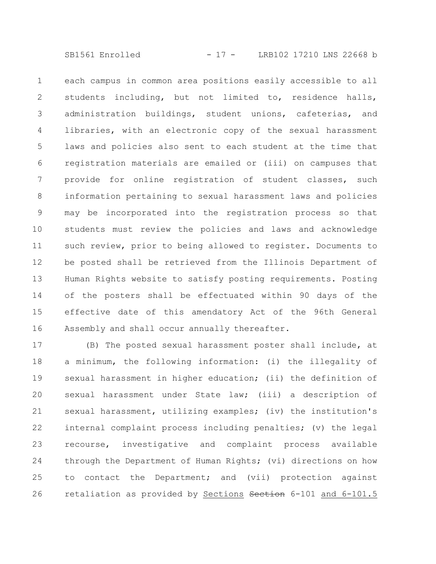SB1561 Enrolled - 17 - LRB102 17210 LNS 22668 b

each campus in common area positions easily accessible to all students including, but not limited to, residence halls, administration buildings, student unions, cafeterias, and libraries, with an electronic copy of the sexual harassment laws and policies also sent to each student at the time that registration materials are emailed or (iii) on campuses that provide for online registration of student classes, such information pertaining to sexual harassment laws and policies may be incorporated into the registration process so that students must review the policies and laws and acknowledge such review, prior to being allowed to register. Documents to be posted shall be retrieved from the Illinois Department of Human Rights website to satisfy posting requirements. Posting of the posters shall be effectuated within 90 days of the effective date of this amendatory Act of the 96th General Assembly and shall occur annually thereafter. 1 2 3 4 5 6 7 8 9 10 11 12 13 14 15 16

(B) The posted sexual harassment poster shall include, at a minimum, the following information: (i) the illegality of sexual harassment in higher education; (ii) the definition of sexual harassment under State law; (iii) a description of sexual harassment, utilizing examples; (iv) the institution's internal complaint process including penalties; (v) the legal recourse, investigative and complaint process available through the Department of Human Rights; (vi) directions on how to contact the Department; and (vii) protection against retaliation as provided by Sections Section 6-101 and 6-101.5 17 18 19 20 21 22 23 24 25 26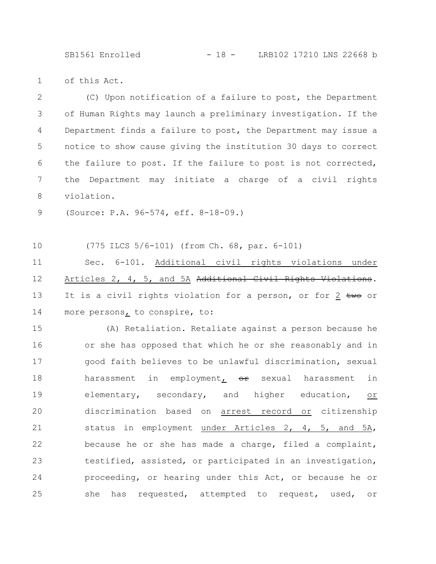SB1561 Enrolled - 18 - LRB102 17210 LNS 22668 b

of this Act. 1

(C) Upon notification of a failure to post, the Department of Human Rights may launch a preliminary investigation. If the Department finds a failure to post, the Department may issue a notice to show cause giving the institution 30 days to correct the failure to post. If the failure to post is not corrected, the Department may initiate a charge of a civil rights violation. 2 3 4 5 6 7 8

(Source: P.A. 96-574, eff. 8-18-09.) 9

(775 ILCS 5/6-101) (from Ch. 68, par. 6-101) 10

Sec. 6-101. Additional civil rights violations under Articles 2, 4, 5, and 5A Additional Civil Rights Violations. It is a civil rights violation for a person, or for  $2 \text{ two or}$ more persons, to conspire, to: 11 12 13 14

(A) Retaliation. Retaliate against a person because he or she has opposed that which he or she reasonably and in good faith believes to be unlawful discrimination, sexual harassment in employment<sub> $r$ </sub> or sexual harassment in elementary, secondary, and higher education, or discrimination based on arrest record or citizenship status in employment under Articles 2, 4, 5, and 5A, because he or she has made a charge, filed a complaint, testified, assisted, or participated in an investigation, proceeding, or hearing under this Act, or because he or she has requested, attempted to request, used, or 15 16 17 18 19 20 21 22 23 24 25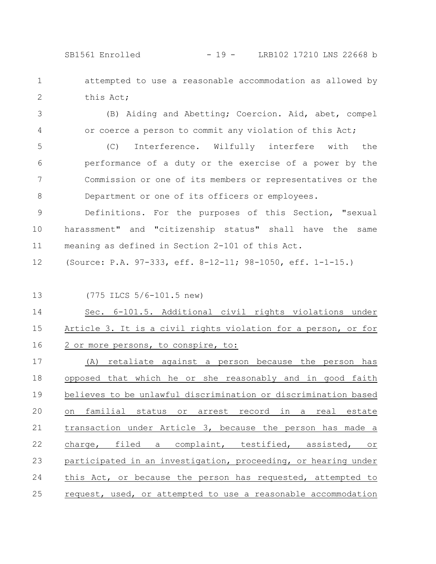SB1561 Enrolled - 19 - LRB102 17210 LNS 22668 b

attempted to use a reasonable accommodation as allowed by this Act; 1 2

(B) Aiding and Abetting; Coercion. Aid, abet, compel or coerce a person to commit any violation of this Act; 3 4

(C) Interference. Wilfully interfere with the performance of a duty or the exercise of a power by the Commission or one of its members or representatives or the Department or one of its officers or employees. 5 6 7 8

Definitions. For the purposes of this Section, "sexual harassment" and "citizenship status" shall have the same meaning as defined in Section 2-101 of this Act. 9 10 11

(Source: P.A. 97-333, eff. 8-12-11; 98-1050, eff. 1-1-15.) 12

13

(775 ILCS 5/6-101.5 new)

Sec. 6-101.5. Additional civil rights violations under Article 3. It is a civil rights violation for a person, or for 2 or more persons, to conspire, to: 14 15 16

(A) retaliate against a person because the person has opposed that which he or she reasonably and in good faith believes to be unlawful discrimination or discrimination based on familial status or arrest record in a real estate transaction under Article 3, because the person has made a charge, filed a complaint, testified, assisted, or participated in an investigation, proceeding, or hearing under this Act, or because the person has requested, attempted to request, used, or attempted to use a reasonable accommodation 17 18 19 20 21 22 23 24 25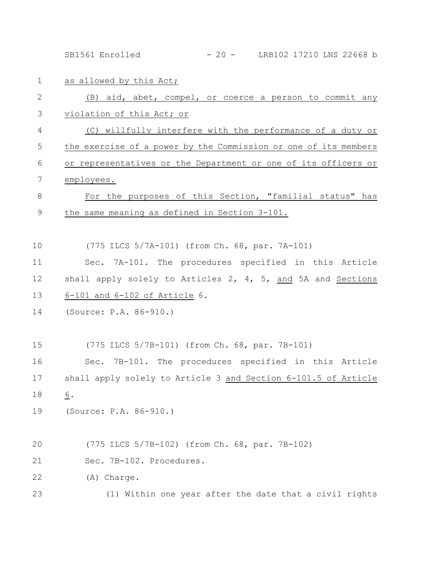SB1561 Enrolled - 20 - LRB102 17210 LNS 22668 b

as allowed by this Act; (B) aid, abet, compel, or coerce a person to commit any violation of this Act; or (C) willfully interfere with the performance of a duty or the exercise of a power by the Commission or one of its members or representatives or the Department or one of its officers or employees. For the purposes of this Section, "familial status" has the same meaning as defined in Section 3-101. (775 ILCS 5/7A-101) (from Ch. 68, par. 7A-101) Sec. 7A-101. The procedures specified in this Article shall apply solely to Articles 2, 4, 5, and 5A and Sections 6-101 and 6-102 of Article 6. (Source: P.A. 86-910.) (775 ILCS 5/7B-101) (from Ch. 68, par. 7B-101) Sec. 7B-101. The procedures specified in this Article shall apply solely to Article 3 and Section 6-101.5 of Article 6. (Source: P.A. 86-910.) (775 ILCS 5/7B-102) (from Ch. 68, par. 7B-102) Sec. 7B-102. Procedures. (A) Charge. (1) Within one year after the date that a civil rights 1 2 3 4 5 6 7 8 9 10 11 12 13 14 15 16 17 18 19 20 21 22 23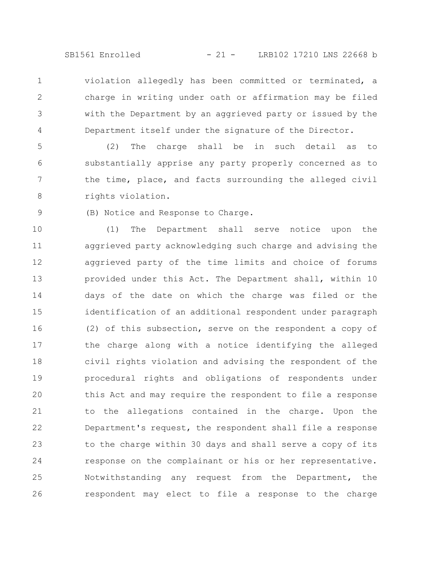SB1561 Enrolled - 21 - LRB102 17210 LNS 22668 b

violation allegedly has been committed or terminated, a charge in writing under oath or affirmation may be filed with the Department by an aggrieved party or issued by the Department itself under the signature of the Director. 1 2 3 4

(2) The charge shall be in such detail as to substantially apprise any party properly concerned as to the time, place, and facts surrounding the alleged civil rights violation. 5 6 7 8

(B) Notice and Response to Charge.

9

(1) The Department shall serve notice upon the aggrieved party acknowledging such charge and advising the aggrieved party of the time limits and choice of forums provided under this Act. The Department shall, within 10 days of the date on which the charge was filed or the identification of an additional respondent under paragraph (2) of this subsection, serve on the respondent a copy of the charge along with a notice identifying the alleged civil rights violation and advising the respondent of the procedural rights and obligations of respondents under this Act and may require the respondent to file a response to the allegations contained in the charge. Upon the Department's request, the respondent shall file a response to the charge within 30 days and shall serve a copy of its response on the complainant or his or her representative. Notwithstanding any request from the Department, the respondent may elect to file a response to the charge 10 11 12 13 14 15 16 17 18 19 20 21 22 23 24 25 26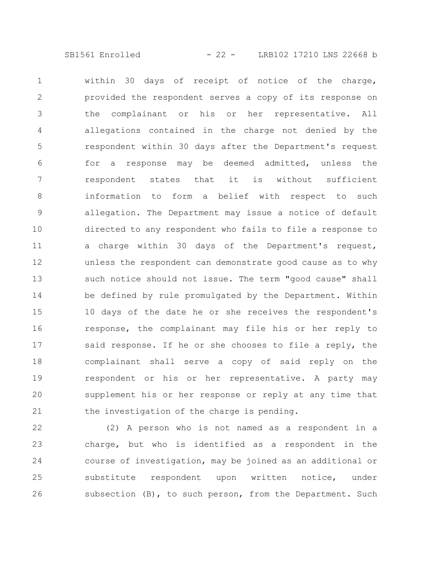SB1561 Enrolled - 22 - LRB102 17210 LNS 22668 b

within 30 days of receipt of notice of the charge, provided the respondent serves a copy of its response on the complainant or his or her representative. All allegations contained in the charge not denied by the respondent within 30 days after the Department's request for a response may be deemed admitted, unless the respondent states that it is without sufficient information to form a belief with respect to such allegation. The Department may issue a notice of default directed to any respondent who fails to file a response to a charge within 30 days of the Department's request, unless the respondent can demonstrate good cause as to why such notice should not issue. The term "good cause" shall be defined by rule promulgated by the Department. Within 10 days of the date he or she receives the respondent's response, the complainant may file his or her reply to said response. If he or she chooses to file a reply, the complainant shall serve a copy of said reply on the respondent or his or her representative. A party may supplement his or her response or reply at any time that the investigation of the charge is pending. 1 2 3 4 5 6 7 8 9 10 11 12 13 14 15 16 17 18 19 20 21

(2) A person who is not named as a respondent in a charge, but who is identified as a respondent in the course of investigation, may be joined as an additional or substitute respondent upon written notice, under subsection (B), to such person, from the Department. Such 22 23 24 25 26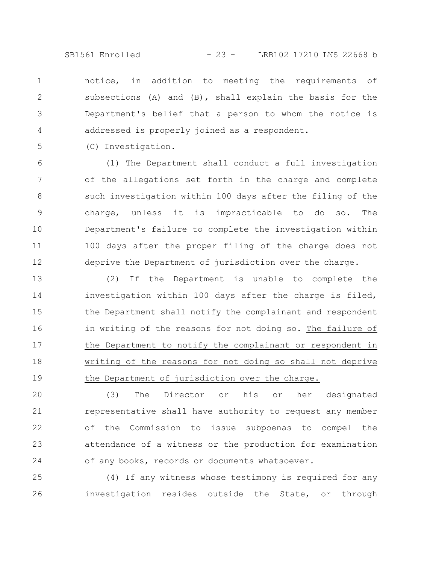SB1561 Enrolled - 23 - LRB102 17210 LNS 22668 b

notice, in addition to meeting the requirements of subsections (A) and (B), shall explain the basis for the Department's belief that a person to whom the notice is addressed is properly joined as a respondent. 1 2 3 4

(C) Investigation.

5

(1) The Department shall conduct a full investigation of the allegations set forth in the charge and complete such investigation within 100 days after the filing of the charge, unless it is impracticable to do so. The Department's failure to complete the investigation within 100 days after the proper filing of the charge does not deprive the Department of jurisdiction over the charge. 6 7 8 9 10 11 12

(2) If the Department is unable to complete the investigation within 100 days after the charge is filed, the Department shall notify the complainant and respondent in writing of the reasons for not doing so. The failure of the Department to notify the complainant or respondent in writing of the reasons for not doing so shall not deprive the Department of jurisdiction over the charge. 13 14 15 16 17 18 19

(3) The Director or his or her designated representative shall have authority to request any member of the Commission to issue subpoenas to compel the attendance of a witness or the production for examination of any books, records or documents whatsoever. 20 21 22 23 24

(4) If any witness whose testimony is required for any investigation resides outside the State, or through 25 26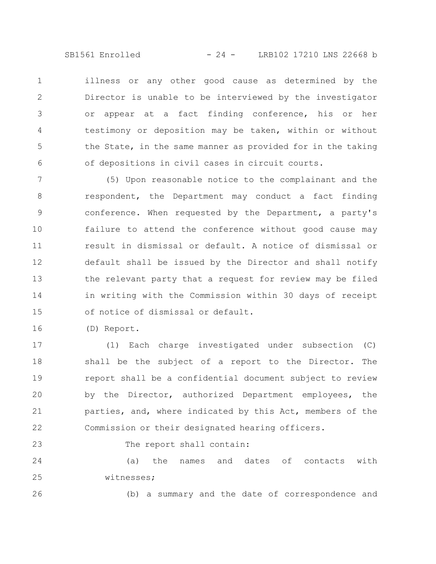SB1561 Enrolled - 24 - LRB102 17210 LNS 22668 b

illness or any other good cause as determined by the Director is unable to be interviewed by the investigator or appear at a fact finding conference, his or her testimony or deposition may be taken, within or without the State, in the same manner as provided for in the taking of depositions in civil cases in circuit courts. 1 2 3 4 5 6

(5) Upon reasonable notice to the complainant and the respondent, the Department may conduct a fact finding conference. When requested by the Department, a party's failure to attend the conference without good cause may result in dismissal or default. A notice of dismissal or default shall be issued by the Director and shall notify the relevant party that a request for review may be filed in writing with the Commission within 30 days of receipt of notice of dismissal or default. 7 8 9 10 11 12 13 14 15

(D) Report. 16

(1) Each charge investigated under subsection (C) shall be the subject of a report to the Director. The report shall be a confidential document subject to review by the Director, authorized Department employees, the parties, and, where indicated by this Act, members of the Commission or their designated hearing officers. 17 18 19 20 21 22

The report shall contain:

(a) the names and dates of contacts with witnesses; 24 25

26

23

(b) a summary and the date of correspondence and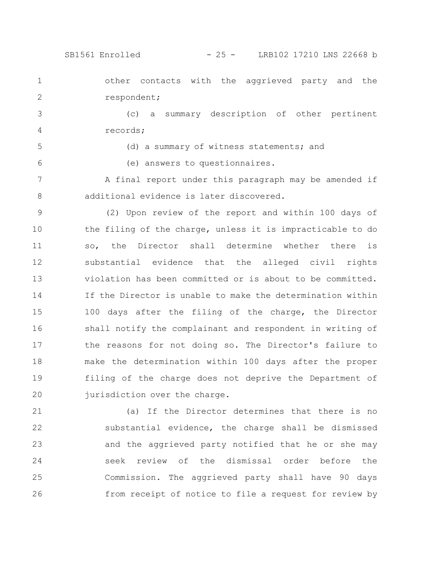SB1561 Enrolled - 25 - LRB102 17210 LNS 22668 b

other contacts with the aggrieved party and the respondent; 1 2

(c) a summary description of other pertinent records; 3 4

5

6

(d) a summary of witness statements; and

(e) answers to questionnaires.

A final report under this paragraph may be amended if additional evidence is later discovered. 7 8

(2) Upon review of the report and within 100 days of the filing of the charge, unless it is impracticable to do so, the Director shall determine whether there is substantial evidence that the alleged civil rights violation has been committed or is about to be committed. If the Director is unable to make the determination within 100 days after the filing of the charge, the Director shall notify the complainant and respondent in writing of the reasons for not doing so. The Director's failure to make the determination within 100 days after the proper filing of the charge does not deprive the Department of jurisdiction over the charge. 9 10 11 12 13 14 15 16 17 18 19 20

(a) If the Director determines that there is no substantial evidence, the charge shall be dismissed and the aggrieved party notified that he or she may seek review of the dismissal order before the Commission. The aggrieved party shall have 90 days from receipt of notice to file a request for review by 21 22 23 24 25 26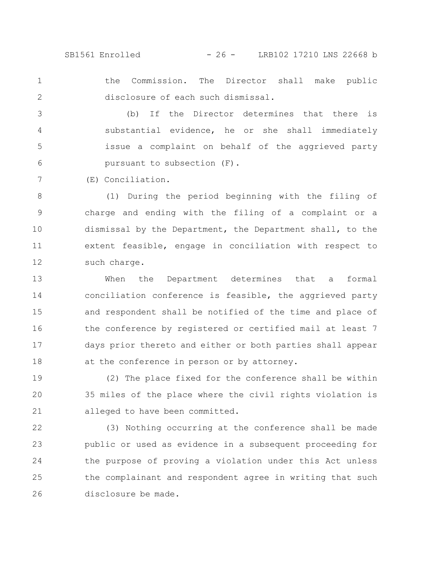SB1561 Enrolled - 26 - LRB102 17210 LNS 22668 b

the Commission. The Director shall make public disclosure of each such dismissal. 1 2

(b) If the Director determines that there is substantial evidence, he or she shall immediately issue a complaint on behalf of the aggrieved party pursuant to subsection (F). 3 4 5 6

(E) Conciliation.

7

(1) During the period beginning with the filing of charge and ending with the filing of a complaint or a dismissal by the Department, the Department shall, to the extent feasible, engage in conciliation with respect to such charge. 8 9 10 11 12

When the Department determines that a formal conciliation conference is feasible, the aggrieved party and respondent shall be notified of the time and place of the conference by registered or certified mail at least 7 days prior thereto and either or both parties shall appear at the conference in person or by attorney. 13 14 15 16 17 18

(2) The place fixed for the conference shall be within 35 miles of the place where the civil rights violation is alleged to have been committed. 19 20 21

(3) Nothing occurring at the conference shall be made public or used as evidence in a subsequent proceeding for the purpose of proving a violation under this Act unless the complainant and respondent agree in writing that such disclosure be made. 22 23 24 25 26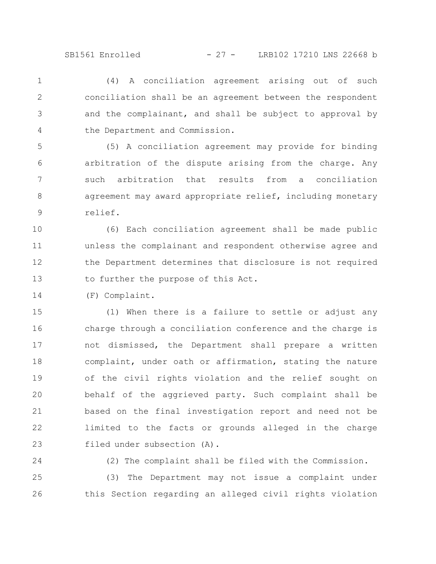SB1561 Enrolled - 27 - LRB102 17210 LNS 22668 b

(4) A conciliation agreement arising out of such conciliation shall be an agreement between the respondent and the complainant, and shall be subject to approval by the Department and Commission. 1 2 3 4

(5) A conciliation agreement may provide for binding arbitration of the dispute arising from the charge. Any such arbitration that results from a conciliation agreement may award appropriate relief, including monetary relief. 5 6 7 8 9

(6) Each conciliation agreement shall be made public unless the complainant and respondent otherwise agree and the Department determines that disclosure is not required to further the purpose of this Act. 10 11 12 13

(F) Complaint. 14

(1) When there is a failure to settle or adjust any charge through a conciliation conference and the charge is not dismissed, the Department shall prepare a written complaint, under oath or affirmation, stating the nature of the civil rights violation and the relief sought on behalf of the aggrieved party. Such complaint shall be based on the final investigation report and need not be limited to the facts or grounds alleged in the charge filed under subsection (A). 15 16 17 18 19 20 21 22 23

24

(2) The complaint shall be filed with the Commission.

(3) The Department may not issue a complaint under this Section regarding an alleged civil rights violation 25 26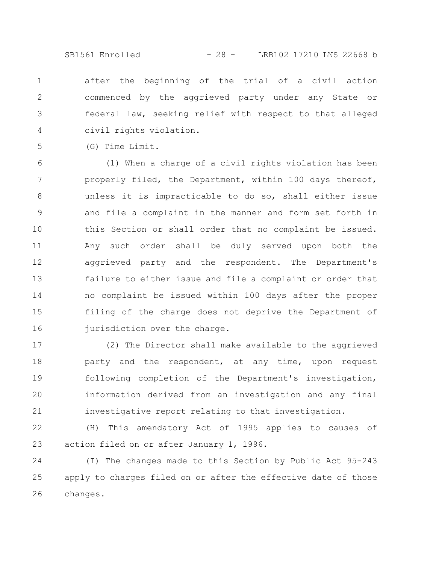SB1561 Enrolled - 28 - LRB102 17210 LNS 22668 b

after the beginning of the trial of a civil action commenced by the aggrieved party under any State or federal law, seeking relief with respect to that alleged civil rights violation. 1 2 3 4

(G) Time Limit.

5

(1) When a charge of a civil rights violation has been properly filed, the Department, within 100 days thereof, unless it is impracticable to do so, shall either issue and file a complaint in the manner and form set forth in this Section or shall order that no complaint be issued. Any such order shall be duly served upon both the aggrieved party and the respondent. The Department's failure to either issue and file a complaint or order that no complaint be issued within 100 days after the proper filing of the charge does not deprive the Department of jurisdiction over the charge. 6 7 8 9 10 11 12 13 14 15 16

(2) The Director shall make available to the aggrieved party and the respondent, at any time, upon request following completion of the Department's investigation, information derived from an investigation and any final investigative report relating to that investigation. 17 18 19 20 21

(H) This amendatory Act of 1995 applies to causes of action filed on or after January 1, 1996. 22 23

(I) The changes made to this Section by Public Act 95-243 apply to charges filed on or after the effective date of those changes. 24 25 26